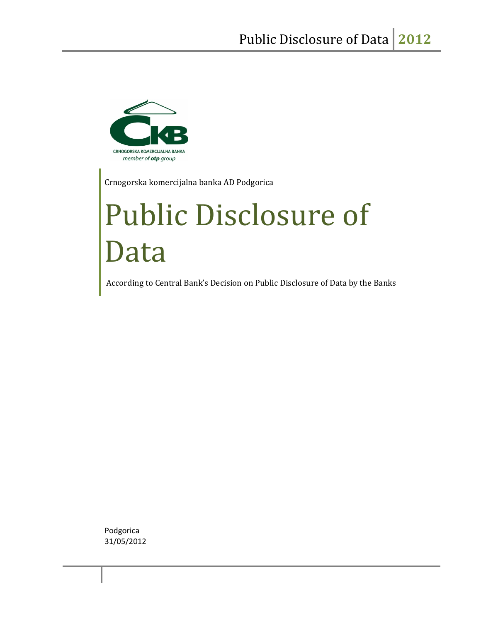

Crnogorska komercijalna banka AD Podgorica

# Public Disclosure of Data

According to Central Bank's Decision on Public Disclosure of Data by the Banks

Podgorica 31/05/2012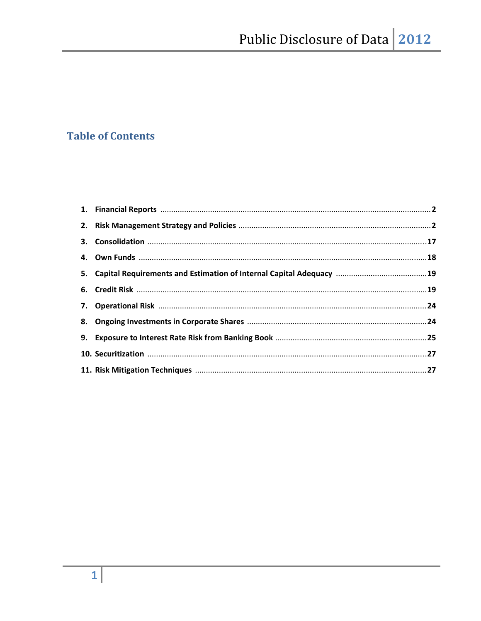# **Table of Contents**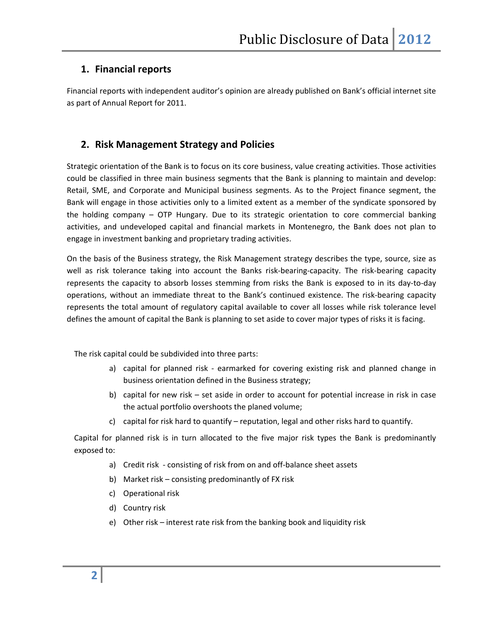# **1. Financial reports**

Financial reports with independent auditor's opinion are already published on Bank's official internet site as part of Annual Report for 2011.

# **2. Risk Management Strategy and Policies**

Strategic orientation of the Bank is to focus on its core business, value creating activities. Those activities could be classified in three main business segments that the Bank is planning to maintain and develop: Retail, SME, and Corporate and Municipal business segments. As to the Project finance segment, the Bank will engage in those activities only to a limited extent as a member of the syndicate sponsored by the holding company – OTP Hungary. Due to its strategic orientation to core commercial banking activities, and undeveloped capital and financial markets in Montenegro, the Bank does not plan to engage in investment banking and proprietary trading activities.

On the basis of the Business strategy, the Risk Management strategy describes the type, source, size as well as risk tolerance taking into account the Banks risk-bearing-capacity. The risk-bearing capacity represents the capacity to absorb losses stemming from risks the Bank is exposed to in its day‐to‐day operations, without an immediate threat to the Bank's continued existence. The risk‐bearing capacity represents the total amount of regulatory capital available to cover all losses while risk tolerance level defines the amount of capital the Bank is planning to set aside to cover major types of risks it is facing.

The risk capital could be subdivided into three parts:

- a) capital for planned risk earmarked for covering existing risk and planned change in business orientation defined in the Business strategy;
- b) capital for new risk set aside in order to account for potential increase in risk in case the actual portfolio overshoots the planed volume;
- c) capital for risk hard to quantify reputation, legal and other risks hard to quantify.

Capital for planned risk is in turn allocated to the five major risk types the Bank is predominantly exposed to:

- a) Credit risk consisting of risk from on and off-balance sheet assets
- b) Market risk consisting predominantly of FX risk
- c) Operational risk
- d) Country risk
- e) Other risk interest rate risk from the banking book and liquidity risk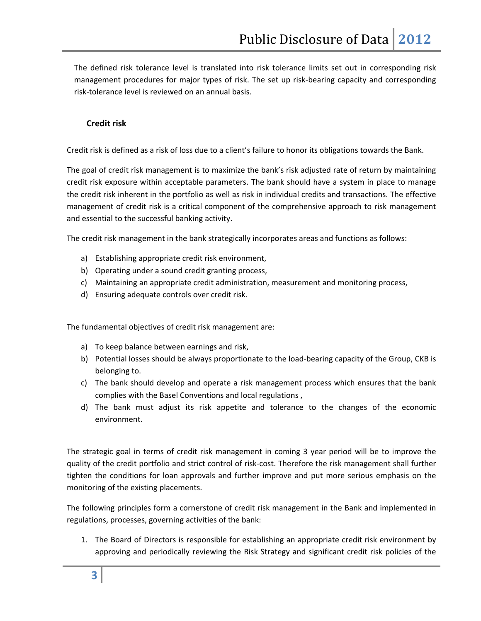The defined risk tolerance level is translated into risk tolerance limits set out in corresponding risk management procedures for major types of risk. The set up risk‐bearing capacity and corresponding risk‐tolerance level is reviewed on an annual basis.

#### **Credit risk**

Credit risk is defined as a risk of loss due to a client's failure to honor its obligations towards the Bank.

The goal of credit risk management is to maximize the bank's risk adjusted rate of return by maintaining credit risk exposure within acceptable parameters. The bank should have a system in place to manage the credit risk inherent in the portfolio as well as risk in individual credits and transactions. The effective management of credit risk is a critical component of the comprehensive approach to risk management and essential to the successful banking activity.

The credit risk management in the bank strategically incorporates areas and functions as follows:

- a) Establishing appropriate credit risk environment,
- b) Operating under a sound credit granting process,
- c) Maintaining an appropriate credit administration, measurement and monitoring process,
- d) Ensuring adequate controls over credit risk.

The fundamental objectives of credit risk management are:

- a) To keep balance between earnings and risk,
- b) Potential losses should be always proportionate to the load-bearing capacity of the Group, CKB is belonging to.
- c) The bank should develop and operate a risk management process which ensures that the bank complies with the Basel Conventions and local regulations ,
- d) The bank must adjust its risk appetite and tolerance to the changes of the economic environment.

The strategic goal in terms of credit risk management in coming 3 year period will be to improve the quality of the credit portfolio and strict control of risk‐cost. Therefore the risk management shall further tighten the conditions for loan approvals and further improve and put more serious emphasis on the monitoring of the existing placements.

The following principles form a cornerstone of credit risk management in the Bank and implemented in regulations, processes, governing activities of the bank:

1. The Board of Directors is responsible for establishing an appropriate credit risk environment by approving and periodically reviewing the Risk Strategy and significant credit risk policies of the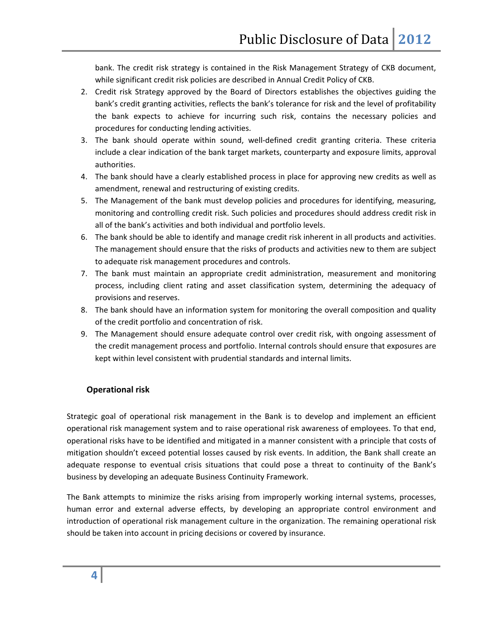bank. The credit risk strategy is contained in the Risk Management Strategy of CKB document, while significant credit risk policies are described in Annual Credit Policy of CKB.

- 2. Credit risk Strategy approved by the Board of Directors establishes the objectives guiding the bank's credit granting activities, reflects the bank's tolerance for risk and the level of profitability the bank expects to achieve for incurring such risk, contains the necessary policies and procedures for conducting lending activities.
- 3. The bank should operate within sound, well-defined credit granting criteria. These criteria include a clear indication of the bank target markets, counterparty and exposure limits, approval authorities.
- 4. The bank should have a clearly established process in place for approving new credits as well as amendment, renewal and restructuring of existing credits.
- 5. The Management of the bank must develop policies and procedures for identifying, measuring, monitoring and controlling credit risk. Such policies and procedures should address credit risk in all of the bank's activities and both individual and portfolio levels.
- 6. The bank should be able to identify and manage credit risk inherent in all products and activities. The management should ensure that the risks of products and activities new to them are subject to adequate risk management procedures and controls.
- 7. The bank must maintain an appropriate credit administration, measurement and monitoring process, including client rating and asset classification system, determining the adequacy of provisions and reserves.
- 8. The bank should have an information system for monitoring the overall composition and quality of the credit portfolio and concentration of risk.
- 9. The Management should ensure adequate control over credit risk, with ongoing assessment of the credit management process and portfolio. Internal controls should ensure that exposures are kept within level consistent with prudential standards and internal limits.

# **Operational risk**

Strategic goal of operational risk management in the Bank is to develop and implement an efficient operational risk management system and to raise operational risk awareness of employees. To that end, operational risks have to be identified and mitigated in a manner consistent with a principle that costs of mitigation shouldn't exceed potential losses caused by risk events. In addition, the Bank shall create an adequate response to eventual crisis situations that could pose a threat to continuity of the Bank's business by developing an adequate Business Continuity Framework.

The Bank attempts to minimize the risks arising from improperly working internal systems, processes, human error and external adverse effects, by developing an appropriate control environment and introduction of operational risk management culture in the organization. The remaining operational risk should be taken into account in pricing decisions or covered by insurance.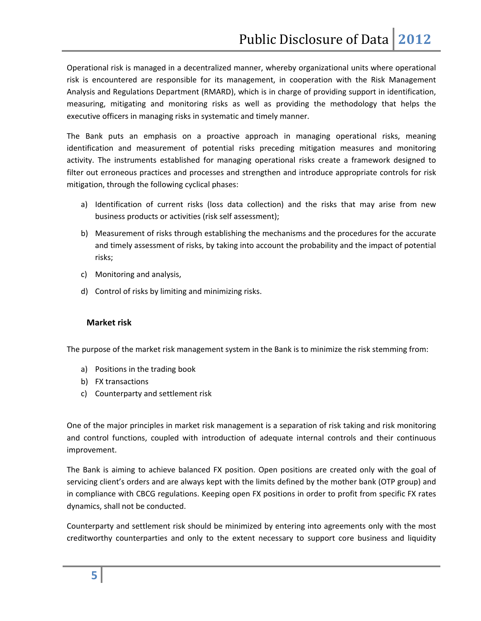Operational risk is managed in a decentralized manner, whereby organizational units where operational risk is encountered are responsible for its management, in cooperation with the Risk Management Analysis and Regulations Department (RMARD), which is in charge of providing support in identification, measuring, mitigating and monitoring risks as well as providing the methodology that helps the executive officers in managing risks in systematic and timely manner.

The Bank puts an emphasis on a proactive approach in managing operational risks, meaning identification and measurement of potential risks preceding mitigation measures and monitoring activity. The instruments established for managing operational risks create a framework designed to filter out erroneous practices and processes and strengthen and introduce appropriate controls for risk mitigation, through the following cyclical phases:

- a) Identification of current risks (loss data collection) and the risks that may arise from new business products or activities (risk self assessment);
- b) Measurement of risks through establishing the mechanisms and the procedures for the accurate and timely assessment of risks, by taking into account the probability and the impact of potential risks;
- c) Monitoring and analysis,
- d) Control of risks by limiting and minimizing risks.

#### **Market risk**

The purpose of the market risk management system in the Bank is to minimize the risk stemming from:

- a) Positions in the trading book
- b) FX transactions
- c) Counterparty and settlement risk

One of the major principles in market risk management is a separation of risk taking and risk monitoring and control functions, coupled with introduction of adequate internal controls and their continuous improvement.

The Bank is aiming to achieve balanced FX position. Open positions are created only with the goal of servicing client's orders and are always kept with the limits defined by the mother bank (OTP group) and in compliance with CBCG regulations. Keeping open FX positions in order to profit from specific FX rates dynamics, shall not be conducted.

Counterparty and settlement risk should be minimized by entering into agreements only with the most creditworthy counterparties and only to the extent necessary to support core business and liquidity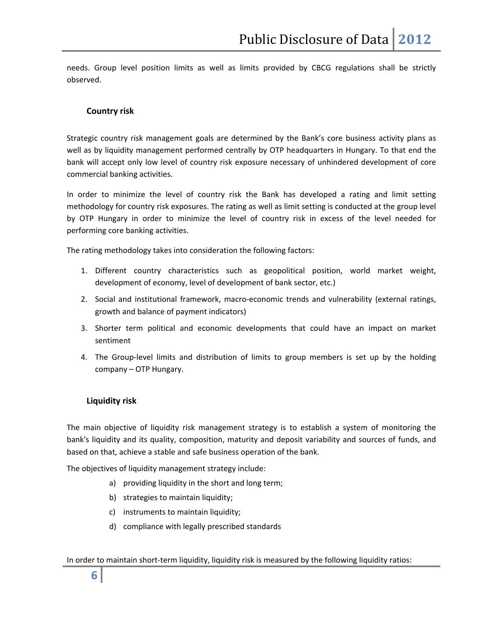needs. Group level position limits as well as limits provided by CBCG regulations shall be strictly observed.

#### **Country risk**

Strategic country risk management goals are determined by the Bank's core business activity plans as well as by liquidity management performed centrally by OTP headquarters in Hungary. To that end the bank will accept only low level of country risk exposure necessary of unhindered development of core commercial banking activities.

In order to minimize the level of country risk the Bank has developed a rating and limit setting methodology for country risk exposures. The rating as well as limit setting is conducted at the group level by OTP Hungary in order to minimize the level of country risk in excess of the level needed for performing core banking activities.

The rating methodology takes into consideration the following factors:

- 1. Different country characteristics such as geopolitical position, world market weight, development of economy, level of development of bank sector, etc.)
- 2. Social and institutional framework, macro‐economic trends and vulnerability (external ratings, growth and balance of payment indicators)
- 3. Shorter term political and economic developments that could have an impact on market sentiment
- 4. The Group-level limits and distribution of limits to group members is set up by the holding company – OTP Hungary.

#### **Liquidity risk**

The main objective of liquidity risk management strategy is to establish a system of monitoring the bank's liquidity and its quality, composition, maturity and deposit variability and sources of funds, and based on that, achieve a stable and safe business operation of the bank.

The objectives of liquidity management strategy include:

- a) providing liquidity in the short and long term;
- b) strategies to maintain liquidity;
- c) instruments to maintain liquidity;
- d) compliance with legally prescribed standards

In order to maintain short-term liquidity, liquidity risk is measured by the following liquidity ratios: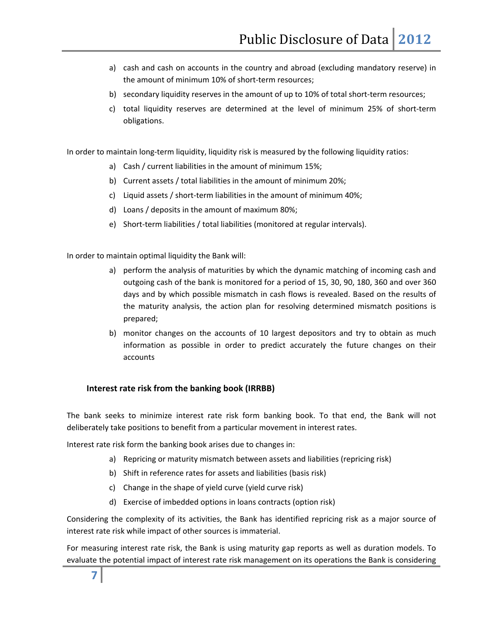- a) cash and cash on accounts in the country and abroad (excluding mandatory reserve) in the amount of minimum 10% of short‐term resources;
- b) secondary liquidity reserves in the amount of up to 10% of total short-term resources;
- c) total liquidity reserves are determined at the level of minimum 25% of short‐term obligations.

In order to maintain long-term liquidity, liquidity risk is measured by the following liquidity ratios:

- a) Cash / current liabilities in the amount of minimum 15%;
- b) Current assets / total liabilities in the amount of minimum 20%;
- c) Liquid assets / short-term liabilities in the amount of minimum 40%;
- d) Loans / deposits in the amount of maximum 80%;
- e) Short-term liabilities / total liabilities (monitored at regular intervals).

In order to maintain optimal liquidity the Bank will:

- a) perform the analysis of maturities by which the dynamic matching of incoming cash and outgoing cash of the bank is monitored for a period of 15, 30, 90, 180, 360 and over 360 days and by which possible mismatch in cash flows is revealed. Based on the results of the maturity analysis, the action plan for resolving determined mismatch positions is prepared;
- b) monitor changes on the accounts of 10 largest depositors and try to obtain as much information as possible in order to predict accurately the future changes on their accounts

#### **Interest rate risk from the banking book (IRRBB)**

The bank seeks to minimize interest rate risk form banking book. To that end, the Bank will not deliberately take positions to benefit from a particular movement in interest rates.

Interest rate risk form the banking book arises due to changes in:

- a) Repricing or maturity mismatch between assets and liabilities (repricing risk)
- b) Shift in reference rates for assets and liabilities (basis risk)
- c) Change in the shape of yield curve (yield curve risk)
- d) Exercise of imbedded options in loans contracts (option risk)

Considering the complexity of its activities, the Bank has identified repricing risk as a major source of interest rate risk while impact of other sources is immaterial.

For measuring interest rate risk, the Bank is using maturity gap reports as well as duration models. To evaluate the potential impact of interest rate risk management on its operations the Bank is considering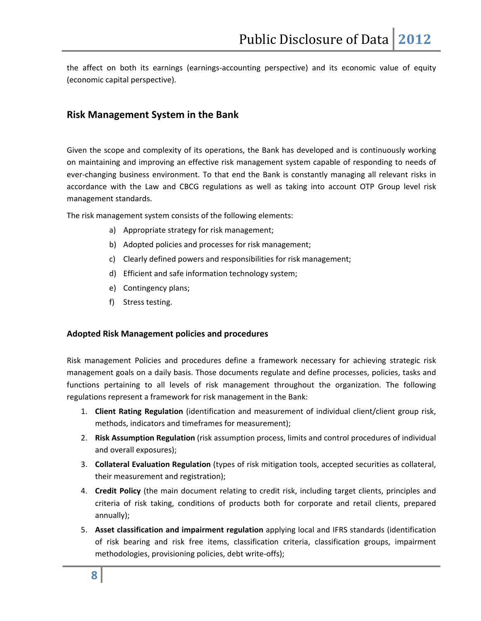the affect on both its earnings (earnings‐accounting perspective) and its economic value of equity (economic capital perspective).

### **Risk Management System in the Bank**

Given the scope and complexity of its operations, the Bank has developed and is continuously working on maintaining and improving an effective risk management system capable of responding to needs of ever-changing business environment. To that end the Bank is constantly managing all relevant risks in accordance with the Law and CBCG regulations as well as taking into account OTP Group level risk management standards.

The risk management system consists of the following elements:

- a) Appropriate strategy for risk management;
- b) Adopted policies and processes for risk management;
- c) Clearly defined powers and responsibilities for risk management;
- d) Efficient and safe information technology system;
- e) Contingency plans;
- f) Stress testing.

#### **Adopted Risk Management policies and procedures**

Risk management Policies and procedures define a framework necessary for achieving strategic risk management goals on a daily basis. Those documents regulate and define processes, policies, tasks and functions pertaining to all levels of risk management throughout the organization. The following regulations represent a framework for risk management in the Bank:

- 1. **Client Rating Regulation** (identification and measurement of individual client/client group risk, methods, indicators and timeframes for measurement);
- 2. **Risk Assumption Regulation** (risk assumption process, limits and control procedures of individual and overall exposures);
- 3. **Collateral Evaluation Regulation** (types of risk mitigation tools, accepted securities as collateral, their measurement and registration);
- 4. **Credit Policy** (the main document relating to credit risk, including target clients, principles and criteria of risk taking, conditions of products both for corporate and retail clients, prepared annually);
- 5. **Asset classification and impairment regulation** applying local and IFRS standards (identification of risk bearing and risk free items, classification criteria, classification groups, impairment methodologies, provisioning policies, debt write-offs);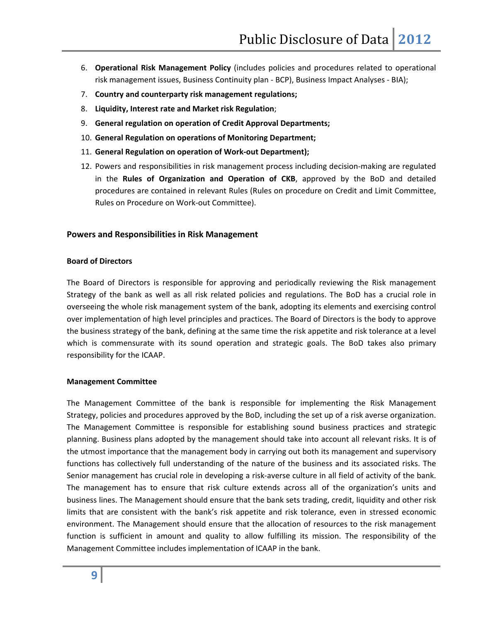- 6. **Operational Risk Management Policy** (includes policies and procedures related to operational risk management issues, Business Continuity plan ‐ BCP), Business Impact Analyses ‐ BIA);
- 7. **Country and counterparty risk management regulations;**
- 8. **Liquidity, Interest rate and Market risk Regulation**;
- 9. **General regulation on operation of Credit Approval Departments;**
- 10. **General Regulation on operations of Monitoring Department;**
- 11. **General Regulation on operation of Work‐out Department);**
- 12. Powers and responsibilities in risk management process including decision‐making are regulated in the **Rules of Organization and Operation of CKB**, approved by the BoD and detailed procedures are contained in relevant Rules (Rules on procedure on Credit and Limit Committee, Rules on Procedure on Work‐out Committee).

#### **Powers and Responsibilities in Risk Management**

#### **Board of Directors**

The Board of Directors is responsible for approving and periodically reviewing the Risk management Strategy of the bank as well as all risk related policies and regulations. The BoD has a crucial role in overseeing the whole risk management system of the bank, adopting its elements and exercising control over implementation of high level principles and practices. The Board of Directors is the body to approve the business strategy of the bank, defining at the same time the risk appetite and risk tolerance at a level which is commensurate with its sound operation and strategic goals. The BoD takes also primary responsibility for the ICAAP.

#### **Management Committee**

The Management Committee of the bank is responsible for implementing the Risk Management Strategy, policies and procedures approved by the BoD, including the set up of a risk averse organization. The Management Committee is responsible for establishing sound business practices and strategic planning. Business plans adopted by the management should take into account all relevant risks. It is of the utmost importance that the management body in carrying out both its management and supervisory functions has collectively full understanding of the nature of the business and its associated risks. The Senior management has crucial role in developing a risk‐averse culture in all field of activity of the bank. The management has to ensure that risk culture extends across all of the organization's units and business lines. The Management should ensure that the bank sets trading, credit, liquidity and other risk limits that are consistent with the bank's risk appetite and risk tolerance, even in stressed economic environment. The Management should ensure that the allocation of resources to the risk management function is sufficient in amount and quality to allow fulfilling its mission. The responsibility of the Management Committee includes implementation of ICAAP in the bank.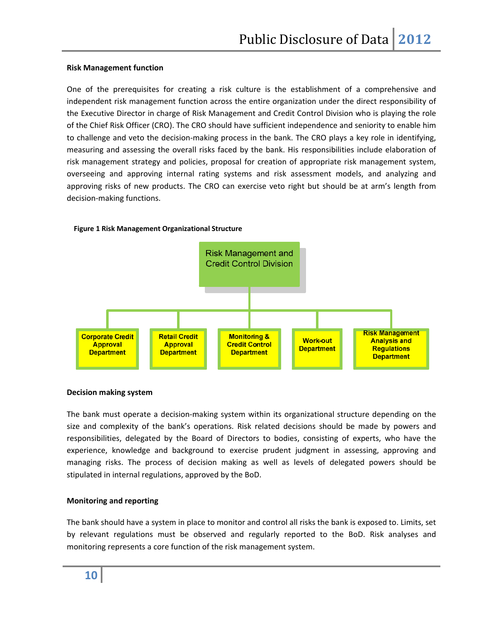#### **Risk Management function**

One of the prerequisites for creating a risk culture is the establishment of a comprehensive and independent risk management function across the entire organization under the direct responsibility of the Executive Director in charge of Risk Management and Credit Control Division who is playing the role of the Chief Risk Officer (CRO). The CRO should have sufficient independence and seniority to enable him to challenge and veto the decision‐making process in the bank. The CRO plays a key role in identifying, measuring and assessing the overall risks faced by the bank. His responsibilities include elaboration of risk management strategy and policies, proposal for creation of appropriate risk management system, overseeing and approving internal rating systems and risk assessment models, and analyzing and approving risks of new products. The CRO can exercise veto right but should be at arm's length from decision‐making functions.



#### **Figure 1 Risk Management Organizational Structure**

#### **Decision making system**

The bank must operate a decision-making system within its organizational structure depending on the size and complexity of the bank's operations. Risk related decisions should be made by powers and responsibilities, delegated by the Board of Directors to bodies, consisting of experts, who have the experience, knowledge and background to exercise prudent judgment in assessing, approving and managing risks. The process of decision making as well as levels of delegated powers should be stipulated in internal regulations, approved by the BoD.

#### **Monitoring and reporting**

The bank should have a system in place to monitor and control all risks the bank is exposed to. Limits, set by relevant regulations must be observed and regularly reported to the BoD. Risk analyses and monitoring represents a core function of the risk management system.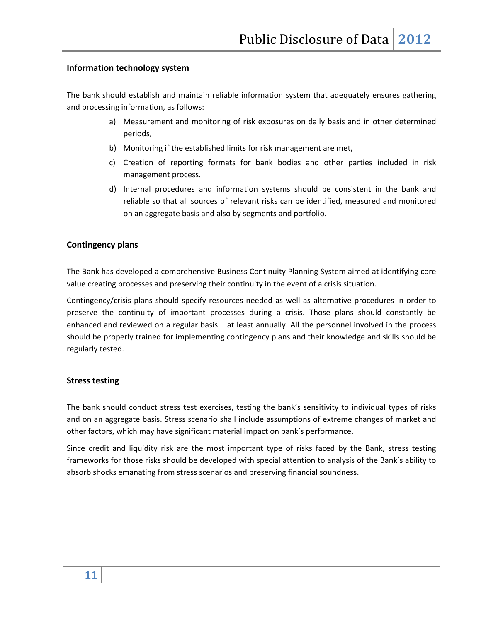#### **Information technology system**

The bank should establish and maintain reliable information system that adequately ensures gathering and processing information, as follows:

- a) Measurement and monitoring of risk exposures on daily basis and in other determined periods,
- b) Monitoring if the established limits for risk management are met,
- c) Creation of reporting formats for bank bodies and other parties included in risk management process.
- d) Internal procedures and information systems should be consistent in the bank and reliable so that all sources of relevant risks can be identified, measured and monitored on an aggregate basis and also by segments and portfolio.

#### **Contingency plans**

The Bank has developed a comprehensive Business Continuity Planning System aimed at identifying core value creating processes and preserving their continuity in the event of a crisis situation.

Contingency/crisis plans should specify resources needed as well as alternative procedures in order to preserve the continuity of important processes during a crisis. Those plans should constantly be enhanced and reviewed on a regular basis – at least annually. All the personnel involved in the process should be properly trained for implementing contingency plans and their knowledge and skills should be regularly tested.

#### **Stress testing**

The bank should conduct stress test exercises, testing the bank's sensitivity to individual types of risks and on an aggregate basis. Stress scenario shall include assumptions of extreme changes of market and other factors, which may have significant material impact on bank's performance.

Since credit and liquidity risk are the most important type of risks faced by the Bank, stress testing frameworks for those risks should be developed with special attention to analysis of the Bank's ability to absorb shocks emanating from stress scenarios and preserving financial soundness.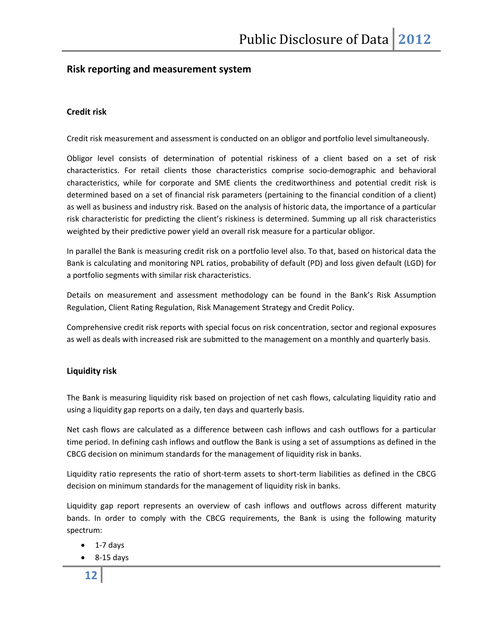# **Risk reporting and measurement system**

#### **Credit risk**

Credit risk measurement and assessment is conducted on an obligor and portfolio level simultaneously.

Obligor level consists of determination of potential riskiness of a client based on a set of risk characteristics. For retail clients those characteristics comprise socio‐demographic and behavioral characteristics, while for corporate and SME clients the creditworthiness and potential credit risk is determined based on a set of financial risk parameters (pertaining to the financial condition of a client) as well as business and industry risk. Based on the analysis of historic data, the importance of a particular risk characteristic for predicting the client's riskiness is determined. Summing up all risk characteristics weighted by their predictive power yield an overall risk measure for a particular obligor.

In parallel the Bank is measuring credit risk on a portfolio level also. To that, based on historical data the Bank is calculating and monitoring NPL ratios, probability of default (PD) and loss given default (LGD) for a portfolio segments with similar risk characteristics.

Details on measurement and assessment methodology can be found in the Bank's Risk Assumption Regulation, Client Rating Regulation, Risk Management Strategy and Credit Policy.

Comprehensive credit risk reports with special focus on risk concentration, sector and regional exposures as well as deals with increased risk are submitted to the management on a monthly and quarterly basis.

#### **Liquidity risk**

The Bank is measuring liquidity risk based on projection of net cash flows, calculating liquidity ratio and using a liquidity gap reports on a daily, ten days and quarterly basis.

Net cash flows are calculated as a difference between cash inflows and cash outflows for a particular time period. In defining cash inflows and outflow the Bank is using a set of assumptions as defined in the CBCG decision on minimum standards for the management of liquidity risk in banks.

Liquidity ratio represents the ratio of short-term assets to short-term liabilities as defined in the CBCG decision on minimum standards for the management of liquidity risk in banks.

Liquidity gap report represents an overview of cash inflows and outflows across different maturity bands. In order to comply with the CBCG requirements, the Bank is using the following maturity spectrum:

- 1‐7 days
- 8‐15 days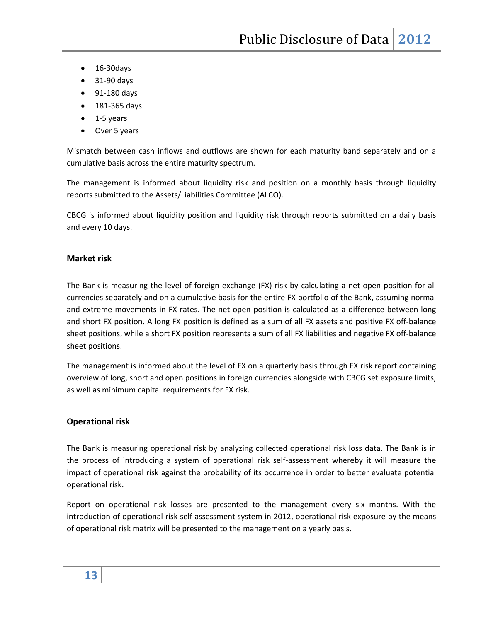- 16‐30days
- 31‐90 days
- 91‐180 days
- 181‐365 days
- 1-5 years
- Over 5 years

Mismatch between cash inflows and outflows are shown for each maturity band separately and on a cumulative basis across the entire maturity spectrum.

The management is informed about liquidity risk and position on a monthly basis through liquidity reports submitted to the Assets/Liabilities Committee (ALCO).

CBCG is informed about liquidity position and liquidity risk through reports submitted on a daily basis and every 10 days.

#### **Market risk**

The Bank is measuring the level of foreign exchange (FX) risk by calculating a net open position for all currencies separately and on a cumulative basis for the entire FX portfolio of the Bank, assuming normal and extreme movements in FX rates. The net open position is calculated as a difference between long and short FX position. A long FX position is defined as a sum of all FX assets and positive FX off‐balance sheet positions, while a short FX position represents a sum of all FX liabilities and negative FX off‐balance sheet positions.

The management is informed about the level of FX on a quarterly basis through FX risk report containing overview of long, short and open positions in foreign currencies alongside with CBCG set exposure limits, as well as minimum capital requirements for FX risk.

#### **Operational risk**

The Bank is measuring operational risk by analyzing collected operational risk loss data. The Bank is in the process of introducing a system of operational risk self‐assessment whereby it will measure the impact of operational risk against the probability of its occurrence in order to better evaluate potential operational risk.

Report on operational risk losses are presented to the management every six months. With the introduction of operational risk self assessment system in 2012, operational risk exposure by the means of operational risk matrix will be presented to the management on a yearly basis.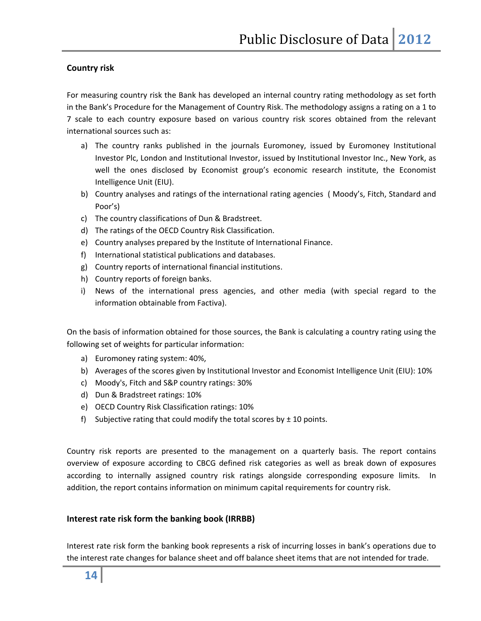#### **Country risk**

For measuring country risk the Bank has developed an internal country rating methodology as set forth in the Bank's Procedure for the Management of Country Risk. The methodology assigns a rating on a 1 to 7 scale to each country exposure based on various country risk scores obtained from the relevant international sources such as:

- a) The country ranks published in the journals Euromoney, issued by Euromoney Institutional Investor Plc, London and Institutional Investor, issued by Institutional Investor Inc., New York, as well the ones disclosed by Economist group's economic research institute, the Economist Intelligence Unit (EIU).
- b) Country analyses and ratings of the international rating agencies ( Moody's, Fitch, Standard and Poor's)
- c) The country classifications of Dun & Bradstreet.
- d) The ratings of the OECD Country Risk Classification.
- e) Country analyses prepared by the Institute of International Finance.
- f) International statistical publications and databases.
- g) Country reports of international financial institutions.
- h) Country reports of foreign banks.
- i) News of the international press agencies, and other media (with special regard to the information obtainable from Factiva).

On the basis of information obtained for those sources, the Bank is calculating a country rating using the following set of weights for particular information:

- a) Euromoney rating system: 40%,
- b) Averages of the scores given by Institutional Investor and Economist Intelligence Unit (EIU): 10%
- c) Moody's, Fitch and S&P country ratings: 30%
- d) Dun & Bradstreet ratings: 10%
- e) OECD Country Risk Classification ratings: 10%
- f) Subjective rating that could modify the total scores by  $\pm$  10 points.

Country risk reports are presented to the management on a quarterly basis. The report contains overview of exposure according to CBCG defined risk categories as well as break down of exposures according to internally assigned country risk ratings alongside corresponding exposure limits. In addition, the report contains information on minimum capital requirements for country risk.

#### **Interest rate risk form the banking book (IRRBB)**

Interest rate risk form the banking book represents a risk of incurring losses in bank's operations due to the interest rate changes for balance sheet and off balance sheet items that are not intended for trade.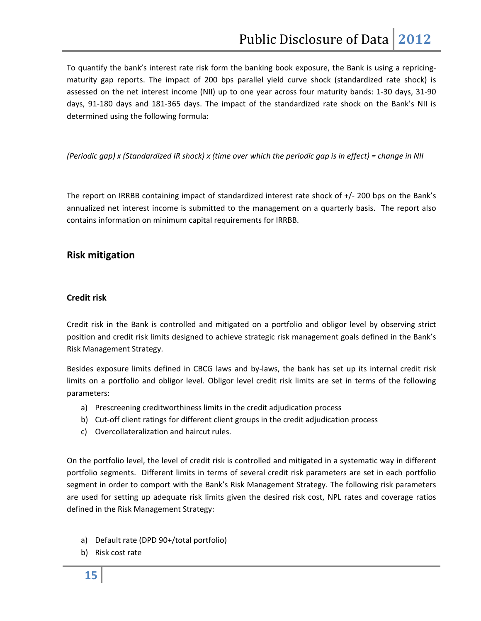To quantify the bank's interest rate risk form the banking book exposure, the Bank is using a repricing‐ maturity gap reports. The impact of 200 bps parallel yield curve shock (standardized rate shock) is assessed on the net interest income (NII) up to one year across four maturity bands: 1‐30 days, 31‐90 days, 91-180 days and 181-365 days. The impact of the standardized rate shock on the Bank's NII is determined using the following formula:

#### (Periodic gap) x (Standardized IR shock) x (time over which the periodic gap is in effect) = change in NII

The report on IRRBB containing impact of standardized interest rate shock of +/‐ 200 bps on the Bank's annualized net interest income is submitted to the management on a quarterly basis. The report also contains information on minimum capital requirements for IRRBB.

#### **Risk mitigation**

#### **Credit risk**

Credit risk in the Bank is controlled and mitigated on a portfolio and obligor level by observing strict position and credit risk limits designed to achieve strategic risk management goals defined in the Bank's Risk Management Strategy.

Besides exposure limits defined in CBCG laws and by-laws, the bank has set up its internal credit risk limits on a portfolio and obligor level. Obligor level credit risk limits are set in terms of the following parameters:

- a) Prescreening creditworthiness limits in the credit adjudication process
- b) Cut‐off client ratings for different client groups in the credit adjudication process
- c) Overcollateralization and haircut rules.

On the portfolio level, the level of credit risk is controlled and mitigated in a systematic way in different portfolio segments. Different limits in terms of several credit risk parameters are set in each portfolio segment in order to comport with the Bank's Risk Management Strategy. The following risk parameters are used for setting up adequate risk limits given the desired risk cost, NPL rates and coverage ratios defined in the Risk Management Strategy:

- a) Default rate (DPD 90+/total portfolio)
- b) Risk cost rate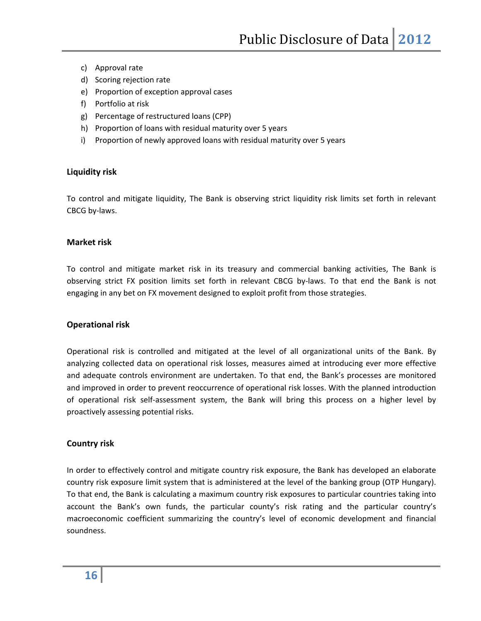- c) Approval rate
- d) Scoring rejection rate
- e) Proportion of exception approval cases
- f) Portfolio at risk
- g) Percentage of restructured loans (CPP)
- h) Proportion of loans with residual maturity over 5 years
- i) Proportion of newly approved loans with residual maturity over 5 years

#### **Liquidity risk**

To control and mitigate liquidity, The Bank is observing strict liquidity risk limits set forth in relevant CBCG by‐laws.

#### **Market risk**

To control and mitigate market risk in its treasury and commercial banking activities, The Bank is observing strict FX position limits set forth in relevant CBCG by‐laws. To that end the Bank is not engaging in any bet on FX movement designed to exploit profit from those strategies.

#### **Operational risk**

Operational risk is controlled and mitigated at the level of all organizational units of the Bank. By analyzing collected data on operational risk losses, measures aimed at introducing ever more effective and adequate controls environment are undertaken. To that end, the Bank's processes are monitored and improved in order to prevent reoccurrence of operational risk losses. With the planned introduction of operational risk self‐assessment system, the Bank will bring this process on a higher level by proactively assessing potential risks.

#### **Country risk**

In order to effectively control and mitigate country risk exposure, the Bank has developed an elaborate country risk exposure limit system that is administered at the level of the banking group (OTP Hungary). To that end, the Bank is calculating a maximum country risk exposures to particular countries taking into account the Bank's own funds, the particular county's risk rating and the particular country's macroeconomic coefficient summarizing the country's level of economic development and financial soundness.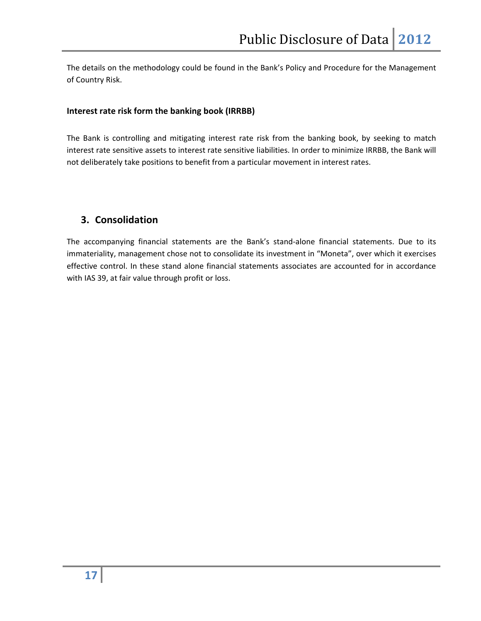The details on the methodology could be found in the Bank's Policy and Procedure for the Management of Country Risk.

#### **Interest rate risk form the banking book (IRRBB)**

The Bank is controlling and mitigating interest rate risk from the banking book, by seeking to match interest rate sensitive assets to interest rate sensitive liabilities. In order to minimize IRRBB, the Bank will not deliberately take positions to benefit from a particular movement in interest rates.

# **3. Consolidation**

The accompanying financial statements are the Bank's stand-alone financial statements. Due to its immateriality, management chose not to consolidate its investment in "Moneta", over which it exercises effective control. In these stand alone financial statements associates are accounted for in accordance with IAS 39, at fair value through profit or loss.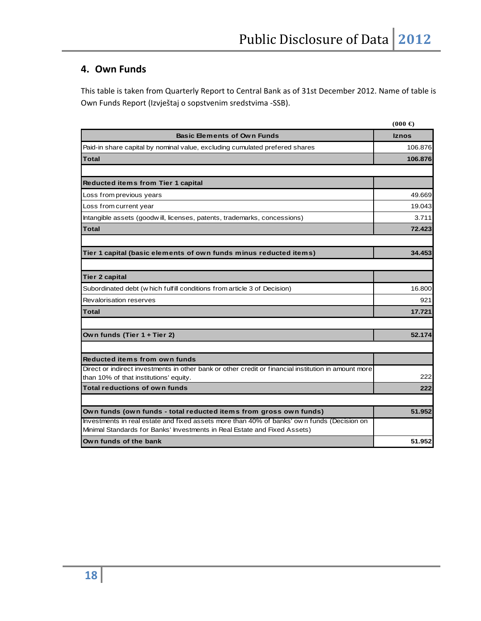# **4. Own Funds**

This table is taken from Quarterly Report to Central Bank as of 31st December 2012. Name of table is Own Funds Report (Izvještaj o sopstvenim sredstvima ‐SSB).

|                                                                                                                                                                         | $(000 \infty)$ |
|-------------------------------------------------------------------------------------------------------------------------------------------------------------------------|----------------|
| <b>Basic Elements of Own Funds</b>                                                                                                                                      | <b>Iznos</b>   |
| Paid-in share capital by nominal value, excluding cumulated prefered shares                                                                                             | 106.876        |
| Total                                                                                                                                                                   | 106.876        |
|                                                                                                                                                                         |                |
| <b>Reducted items from Tier 1 capital</b>                                                                                                                               |                |
| Loss from previous years                                                                                                                                                | 49.669         |
| Loss from current year                                                                                                                                                  | 19.043         |
| Intangible assets (goodwill, licenses, patents, trademarks, concessions)                                                                                                | 3.711          |
| <b>Total</b>                                                                                                                                                            | 72.423         |
|                                                                                                                                                                         |                |
| Tier 1 capital (basic elements of own funds minus reducted items)                                                                                                       | 34.453         |
|                                                                                                                                                                         |                |
| Tier 2 capital                                                                                                                                                          |                |
| Subordinated debt (w hich fulfill conditions from article 3 of Decision)                                                                                                | 16.800         |
| Revalorisation reserves                                                                                                                                                 | 921            |
| Total                                                                                                                                                                   | 17.721         |
|                                                                                                                                                                         |                |
| Own funds (Tier 1 + Tier 2)                                                                                                                                             | 52.174         |
|                                                                                                                                                                         |                |
| <b>Reducted items from own funds</b>                                                                                                                                    |                |
| Direct or indirect investments in other bank or other credit or financial institution in amount more                                                                    |                |
| than 10% of that institutions' equity.                                                                                                                                  | 222            |
| <b>Total reductions of own funds</b>                                                                                                                                    | 222            |
|                                                                                                                                                                         |                |
| Own funds (own funds - total reducted items from gross own funds)                                                                                                       | 51.952         |
| Investments in real estate and fixed assets more than 40% of banks' own funds (Decision on<br>Minimal Standards for Banks' Investments in Real Estate and Fixed Assets) |                |
| Own funds of the bank                                                                                                                                                   | 51.952         |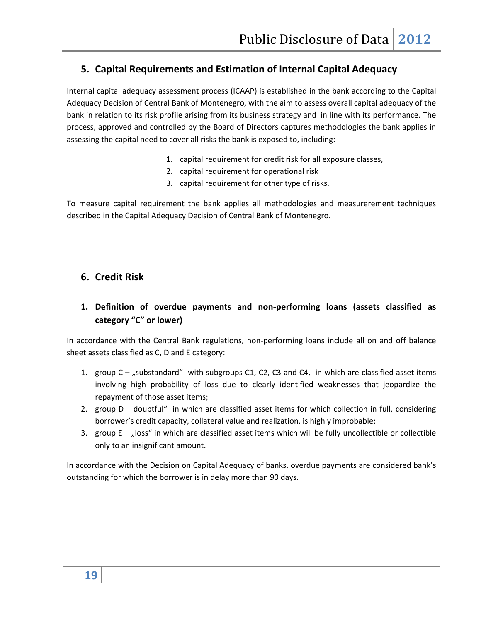# **5. Capital Requirements and Estimation of Internal Capital Adequacy**

Internal capital adequacy assessment process (ICAAP) is established in the bank according to the Capital Adequacy Decision of Central Bank of Montenegro, with the aim to assess overall capital adequacy of the bank in relation to its risk profile arising from its business strategy and in line with its performance. The process, approved and controlled by the Board of Directors captures methodologies the bank applies in assessing the capital need to cover all risks the bank is exposed to, including:

- 1. capital requirement for credit risk for all exposure classes,
- 2. capital requirement for operational risk
- 3. capital requirement for other type of risks.

To measure capital requirement the bank applies all methodologies and measurerement techniques described in the Capital Adequacy Decision of Central Bank of Montenegro.

# **6. Credit Risk**

# **1. Definition of overdue payments and non‐performing loans (assets classified as category "C" or lower)**

In accordance with the Central Bank regulations, non-performing loans include all on and off balance sheet assets classified as C, D and E category:

- 1. group  $C -$  "substandard"- with subgroups C1, C2, C3 and C4, in which are classified asset items involving high probability of loss due to clearly identified weaknesses that jeopardize the repayment of those asset items;
- 2. group D doubtful" in which are classified asset items for which collection in full, considering borrower's credit capacity, collateral value and realization, is highly improbable;
- 3. group  $E -$  "loss" in which are classified asset items which will be fully uncollectible or collectible only to an insignificant amount.

In accordance with the Decision on Capital Adequacy of banks, overdue payments are considered bank's outstanding for which the borrower is in delay more than 90 days.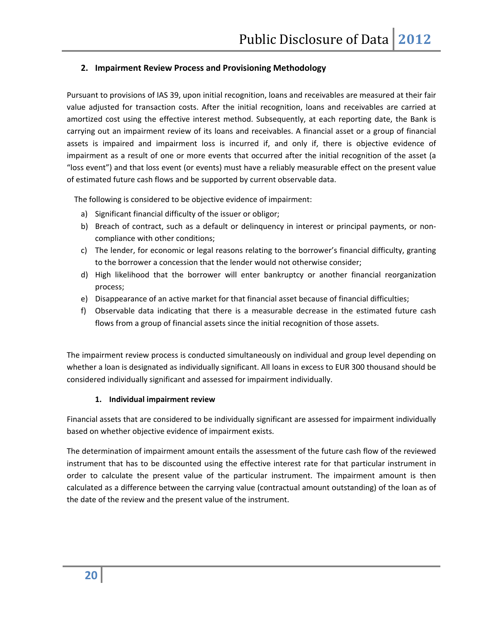#### **2. Impairment Review Process and Provisioning Methodology**

Pursuant to provisions of IAS 39, upon initial recognition, loans and receivables are measured at their fair value adjusted for transaction costs. After the initial recognition, loans and receivables are carried at amortized cost using the effective interest method. Subsequently, at each reporting date, the Bank is carrying out an impairment review of its loans and receivables. A financial asset or a group of financial assets is impaired and impairment loss is incurred if, and only if, there is objective evidence of impairment as a result of one or more events that occurred after the initial recognition of the asset (a "loss event") and that loss event (or events) must have a reliably measurable effect on the present value of estimated future cash flows and be supported by current observable data.

The following is considered to be objective evidence of impairment:

- a) Significant financial difficulty of the issuer or obligor;
- b) Breach of contract, such as a default or delinquency in interest or principal payments, or noncompliance with other conditions;
- c) The lender, for economic or legal reasons relating to the borrower's financial difficulty, granting to the borrower a concession that the lender would not otherwise consider;
- d) High likelihood that the borrower will enter bankruptcy or another financial reorganization process;
- e) Disappearance of an active market for that financial asset because of financial difficulties;
- f) Observable data indicating that there is a measurable decrease in the estimated future cash flows from a group of financial assets since the initial recognition of those assets.

The impairment review process is conducted simultaneously on individual and group level depending on whether a loan is designated as individually significant. All loans in excess to EUR 300 thousand should be considered individually significant and assessed for impairment individually.

#### **1. Individual impairment review**

Financial assets that are considered to be individually significant are assessed for impairment individually based on whether objective evidence of impairment exists.

The determination of impairment amount entails the assessment of the future cash flow of the reviewed instrument that has to be discounted using the effective interest rate for that particular instrument in order to calculate the present value of the particular instrument. The impairment amount is then calculated as a difference between the carrying value (contractual amount outstanding) of the loan as of the date of the review and the present value of the instrument.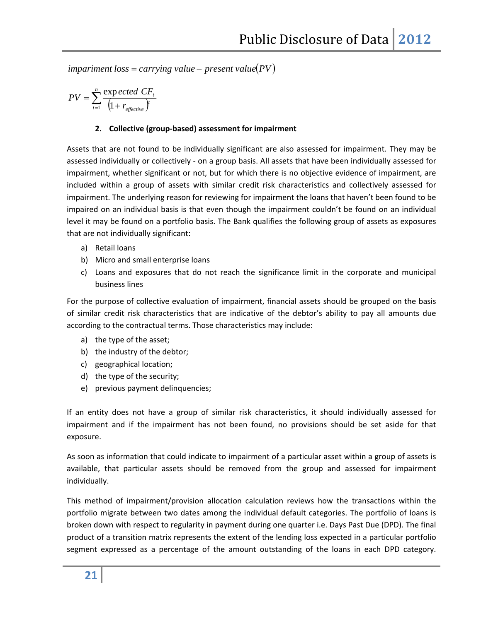$impariment$   $loss = carrying$   $value - present$   $value(PV)$ 

$$
PV = \sum_{t=1}^{n} \frac{\exp{\text{ected }\text{CF}_{t}}}{\left(1 + r_{\text{effective}}\right)}
$$

#### **2. Collective (group‐based) assessment for impairment**

Assets that are not found to be individually significant are also assessed for impairment. They may be assessed individually or collectively ‐ on a group basis. All assets that have been individually assessed for impairment, whether significant or not, but for which there is no objective evidence of impairment, are included within a group of assets with similar credit risk characteristics and collectively assessed for impairment. The underlying reason for reviewing for impairment the loans that haven't been found to be impaired on an individual basis is that even though the impairment couldn't be found on an individual level it may be found on a portfolio basis. The Bank qualifies the following group of assets as exposures that are not individually significant:

- a) Retail loans
- b) Micro and small enterprise loans
- c) Loans and exposures that do not reach the significance limit in the corporate and municipal business lines

For the purpose of collective evaluation of impairment, financial assets should be grouped on the basis of similar credit risk characteristics that are indicative of the debtor's ability to pay all amounts due according to the contractual terms. Those characteristics may include:

- a) the type of the asset;
- b) the industry of the debtor;
- c) geographical location;
- d) the type of the security;
- e) previous payment delinquencies;

If an entity does not have a group of similar risk characteristics, it should individually assessed for impairment and if the impairment has not been found, no provisions should be set aside for that exposure.

As soon as information that could indicate to impairment of a particular asset within a group of assets is available, that particular assets should be removed from the group and assessed for impairment individually.

This method of impairment/provision allocation calculation reviews how the transactions within the portfolio migrate between two dates among the individual default categories. The portfolio of loans is broken down with respect to regularity in payment during one quarter i.e. Days Past Due (DPD). The final product of a transition matrix represents the extent of the lending loss expected in a particular portfolio segment expressed as a percentage of the amount outstanding of the loans in each DPD category.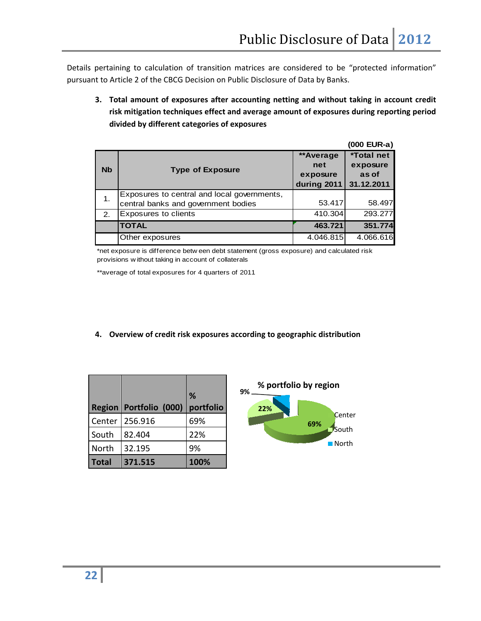Details pertaining to calculation of transition matrices are considered to be "protected information" pursuant to Article 2 of the CBCG Decision on Public Disclosure of Data by Banks.

|           | Public Disclosure of Data   2012                                                                                                                                                                                                                                                                                                                                                                                    |                                             |                                                      |  |  |  |  |  |
|-----------|---------------------------------------------------------------------------------------------------------------------------------------------------------------------------------------------------------------------------------------------------------------------------------------------------------------------------------------------------------------------------------------------------------------------|---------------------------------------------|------------------------------------------------------|--|--|--|--|--|
|           | pertaining to calculation of transition matrices are considered to be "protected information<br>It to Article 2 of the CBCG Decision on Public Disclosure of Data by Banks.<br>3. Total amount of exposures after accounting netting and without taking in account cred<br>risk mitigation techniques effect and average amount of exposures during reporting perio<br>divided by different categories of exposures |                                             |                                                      |  |  |  |  |  |
|           |                                                                                                                                                                                                                                                                                                                                                                                                                     |                                             | (000 EUR-a)                                          |  |  |  |  |  |
| <b>Nb</b> | <b>Type of Exposure</b>                                                                                                                                                                                                                                                                                                                                                                                             | **Average<br>net<br>exposure<br>during 2011 | <b>*Total net</b><br>exposure<br>as of<br>31.12.2011 |  |  |  |  |  |
| 1.        | Exposures to central and local governments,<br>central banks and government bodies                                                                                                                                                                                                                                                                                                                                  | 53.417                                      | 58.497                                               |  |  |  |  |  |
| 2.        | Exposures to clients                                                                                                                                                                                                                                                                                                                                                                                                | 410.304                                     | 293.277                                              |  |  |  |  |  |
|           | <b>TOTAL</b>                                                                                                                                                                                                                                                                                                                                                                                                        | 463.721                                     | 351.774                                              |  |  |  |  |  |
|           | Other exposures                                                                                                                                                                                                                                                                                                                                                                                                     | 4.046.815                                   | 4.066.616                                            |  |  |  |  |  |
|           | *net exposure is difference betw een debt statement (gross exposure) and calculated risk<br>provisions without taking in account of collaterals<br>**average of total exposures for 4 quarters of 2011                                                                                                                                                                                                              |                                             |                                                      |  |  |  |  |  |
| 4.        | Overview of credit risk exposures according to geographic distribution                                                                                                                                                                                                                                                                                                                                              |                                             |                                                      |  |  |  |  |  |

|              | Region   Portfolio (000) | %<br>portfolio |
|--------------|--------------------------|----------------|
| Center       | 256.916                  | 69%            |
| South        | 82.404                   | 22%            |
| North        | 32.195                   | 9%             |
| <b>Total</b> | 371.515                  | 100%           |

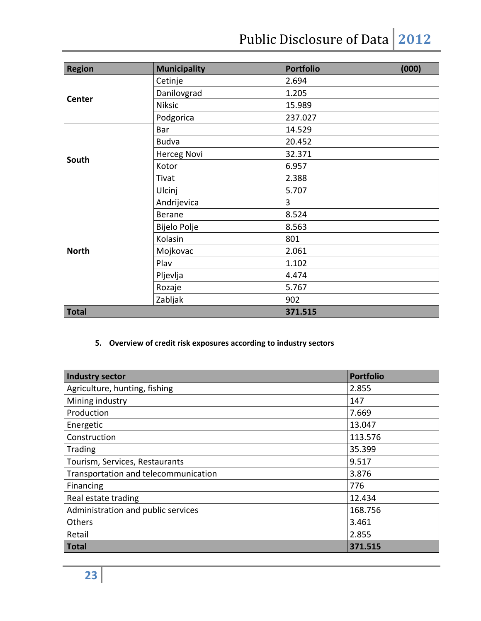# Public Disclosure of Data 2012

| <b>Region</b> | <b>Municipality</b> | <b>Portfolio</b> | (000) |
|---------------|---------------------|------------------|-------|
|               | Cetinje             | 2.694            |       |
|               | Danilovgrad         | 1.205            |       |
| Center        | <b>Niksic</b>       | 15.989           |       |
|               | Podgorica           | 237.027          |       |
|               | Bar                 | 14.529           |       |
|               | <b>Budva</b>        | 20.452           |       |
| South         | <b>Herceg Novi</b>  | 32.371           |       |
|               | Kotor               | 6.957            |       |
|               | Tivat               | 2.388            |       |
|               | Ulcinj              | 5.707            |       |
|               | Andrijevica         | 3                |       |
|               | <b>Berane</b>       | 8.524            |       |
|               | Bijelo Polje        | 8.563            |       |
|               | Kolasin             | 801              |       |
| <b>North</b>  | Mojkovac            | 2.061            |       |
|               | Plav                | 1.102            |       |
|               | Pljevlja            | 4.474            |       |
|               | Rozaje              | 5.767            |       |
|               | Zabljak             | 902              |       |
| <b>Total</b>  |                     | 371.515          |       |

# **5. Overview of credit risk exposures according to industry sectors**

| <b>Industry sector</b>               | <b>Portfolio</b> |
|--------------------------------------|------------------|
| Agriculture, hunting, fishing        | 2.855            |
| Mining industry                      | 147              |
| Production                           | 7.669            |
| Energetic                            | 13.047           |
| Construction                         | 113.576          |
| Trading                              | 35.399           |
| Tourism, Services, Restaurants       | 9.517            |
| Transportation and telecommunication | 3.876            |
| Financing                            | 776              |
| Real estate trading                  | 12.434           |
| Administration and public services   | 168.756          |
| Others                               | 3.461            |
| Retail                               | 2.855            |
| <b>Total</b>                         | 371.515          |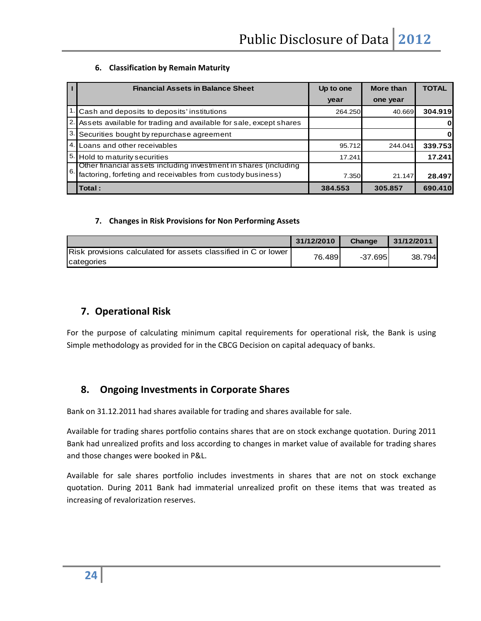#### **6. Classification by Remain Maturity**

|    | <b>Financial Assets in Balance Sheet</b>                                                                                        | Up to one | More than | <b>TOTAL</b> |
|----|---------------------------------------------------------------------------------------------------------------------------------|-----------|-----------|--------------|
|    |                                                                                                                                 | year      | one year  |              |
|    | 1. Cash and deposits to deposits' institutions                                                                                  | 264.250   | 40.669    | 304.919      |
|    | 2. Assets available for trading and available for sale, except shares                                                           |           |           | 0            |
|    | 3. Securities bought by repurchase agreement                                                                                    |           |           | Οl           |
|    | 4. Loans and other receivables                                                                                                  | 95.712    | 244.041   | 339.753      |
|    | 5. Hold to maturity securities                                                                                                  | 17.241    |           | 17.241       |
| 6. | Other financial assets including investment in shares (including<br>factoring, forfeting and receivables from custody business) | 7.350     | 21.147    | 28.497       |
|    | Total:                                                                                                                          | 384.553   | 305.857   | 690.410      |

#### **7. Changes in Risk Provisions for Non Performing Assets**

|                                                                | 31/12/2010 | Change   | 31/12/2011 |
|----------------------------------------------------------------|------------|----------|------------|
| Risk provisions calculated for assets classified in C or lower | 76.4891    | -37.6951 | 38.794     |
| categories                                                     |            |          |            |

# **7. Operational Risk**

For the purpose of calculating minimum capital requirements for operational risk, the Bank is using Simple methodology as provided for in the CBCG Decision on capital adequacy of banks.

# **8. Ongoing Investments in Corporate Shares**

Bank on 31.12.2011 had shares available for trading and shares available for sale.

Available for trading shares portfolio contains shares that are on stock exchange quotation. During 2011 Bank had unrealized profits and loss according to changes in market value of available for trading shares and those changes were booked in P&L.

Available for sale shares portfolio includes investments in shares that are not on stock exchange quotation. During 2011 Bank had immaterial unrealized profit on these items that was treated as increasing of revalorization reserves.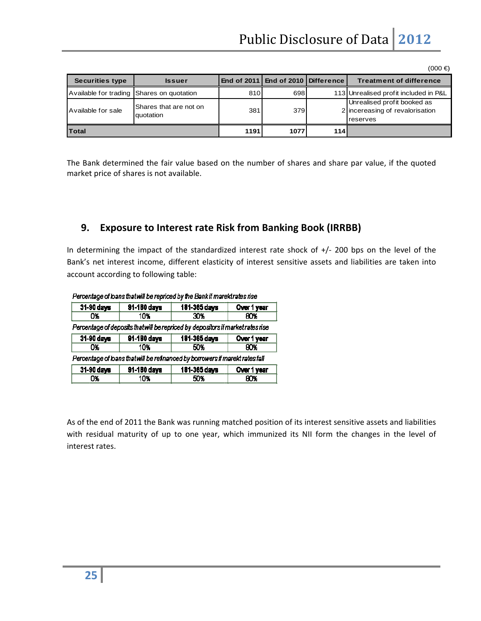| <b>Securities type</b>                    | <b>Issuer</b>                       |      | End of 2011   End of 2010   Difference |     | <b>Treatment of difference</b>                                             |
|-------------------------------------------|-------------------------------------|------|----------------------------------------|-----|----------------------------------------------------------------------------|
| Available for trading Shares on quotation |                                     | 810  | 698                                    |     | 113 Unrealised profit included in P&L                                      |
| Available for sale                        | Shares that are not on<br>quotation | 381  | 379                                    |     | Unrealised profit booked as<br>2 incereasing of revalorisation<br>reserves |
| <b>Total</b>                              |                                     | 1191 | 1077                                   | 114 |                                                                            |

The Bank determined the fair value based on the number of shares and share par value, if the quoted market price of shares is not available.

#### **9. Exposure to Interest rate Risk from Banking Book (IRRBB)**

In determining the impact of the standardized interest rate shock of +/- 200 bps on the level of the Bank's net interest income, different elasticity of interest sensitive assets and liabilities are taken into account according to following table:

| r oroontergo on toento energy moor opnoou by eno benn minerontretoo moo         |              |              |             |  |  |  |  |
|---------------------------------------------------------------------------------|--------------|--------------|-------------|--|--|--|--|
| 31-90 days                                                                      | 181-365 days | Over 1 year  |             |  |  |  |  |
| O%                                                                              | 10%          | 30%          | 80Y         |  |  |  |  |
| Percentage of deposits that will be repriced by depositors if market rates rise |              |              |             |  |  |  |  |
| 31-90 days<br>181-365 days<br>91-180 days<br>Over 1 year                        |              |              |             |  |  |  |  |
| OЧ.                                                                             | 10%          | 50%          | 80%         |  |  |  |  |
| Percentage of loans that will be refinanced by borrowers if marekt rates fall   |              |              |             |  |  |  |  |
| 31-90 days                                                                      | 91-180 days  | 181-365 days | Over 1 year |  |  |  |  |
| 0%                                                                              | 10%          | 50%          | 80X         |  |  |  |  |
|                                                                                 |              |              |             |  |  |  |  |

Percentage of loans that will be repriced by the Rank if mareld rates rise

As of the end of 2011 the Bank was running matched position of its interest sensitive assets and liabilities with residual maturity of up to one year, which immunized its NII form the changes in the level of interest rates.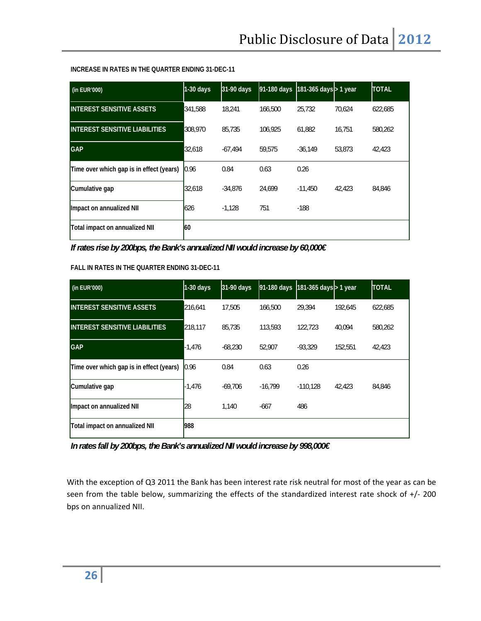#### **INCREASE IN RATES IN THE QUARTER ENDING 31-DEC-11**

| (in EUR'000)                             | $1-30$ days | 31-90 days | 91-180 days | 181-365 days > 1 year |        | <b>TOTAL</b> |
|------------------------------------------|-------------|------------|-------------|-----------------------|--------|--------------|
| <b>INTEREST SENSITIVE ASSETS</b>         | 341,588     | 18.241     | 166,500     | 25.732                | 70.624 | 622,685      |
| <b>INTEREST SENSITIVE LIABILITIES</b>    | 308,970     | 85.735     | 106.925     | 61,882                | 16.751 | 580.262      |
| <b>GAP</b>                               | 32,618      | $-67.494$  | 59,575      | $-36,149$             | 53,873 | 42,423       |
| Time over which gap is in effect (years) | 0.96        | 0.84       | 0.63        | 0.26                  |        |              |
| Cumulative gap                           | 32,618      | $-34.876$  | 24.699      | $-11.450$             | 42,423 | 84.846       |
| Impact on annualized NII                 | 626         | $-1,128$   | 751         | $-188$                |        |              |
| Total impact on annualized NII           | l60         |            |             |                       |        |              |

*If rates rise by 200bps, the Bank's annualized NII would increase by 60,000€* 

#### **FALL IN RATES IN THE QUARTER ENDING 31-DEC-11**

| (in EUR'000)                             | $1-30$ days | 31-90 days | 91-180 days | 181-365 days > 1 year |         | <b>TOTAL</b> |
|------------------------------------------|-------------|------------|-------------|-----------------------|---------|--------------|
| <b>INTEREST SENSITIVE ASSETS</b>         | 216,641     | 17.505     | 166,500     | 29,394                | 192.645 | 622,685      |
| <b>INTEREST SENSITIVE LIABILITIES</b>    | 218.117     | 85.735     | 113,593     | 122,723               | 40.094  | 580.262      |
| <b>GAP</b>                               | $-1,476$    | $-68.230$  | 52.907      | $-93.329$             | 152.551 | 42.423       |
| Time over which gap is in effect (years) | 0.96        | 0.84       | 0.63        | 0.26                  |         |              |
| Cumulative gap                           | -1.476      | $-69.706$  | $-16.799$   | $-110.128$            | 42.423  | 84,846       |
| Impact on annualized NII                 | 28          | 1,140      | $-667$      | 486                   |         |              |
| Total impact on annualized NII           | 988         |            |             |                       |         |              |

*In rates fall by 200bps, the Bank's annualized NII would increase by 998,000€* 

With the exception of Q3 2011 the Bank has been interest rate risk neutral for most of the year as can be seen from the table below, summarizing the effects of the standardized interest rate shock of +/- 200 bps on annualized NII.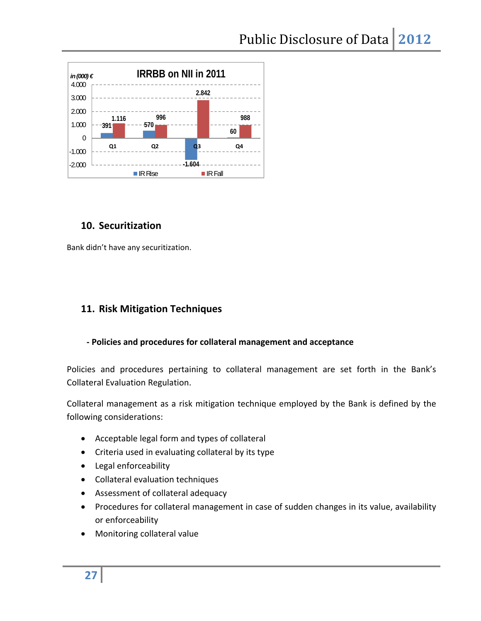

# **10. Securitization**

Bank didn't have any securitization.

# **11. Risk Mitigation Techniques**

## **‐ Policies and procedures for collateral management and acceptance**

Policies and procedures pertaining to collateral management are set forth in the Bank's Collateral Evaluation Regulation.

Collateral management as a risk mitigation technique employed by the Bank is defined by the following considerations:

- Acceptable legal form and types of collateral
- Criteria used in evaluating collateral by its type
- Legal enforceability
- Collateral evaluation techniques
- Assessment of collateral adequacy
- Procedures for collateral management in case of sudden changes in its value, availability or enforceability
- Monitoring collateral value